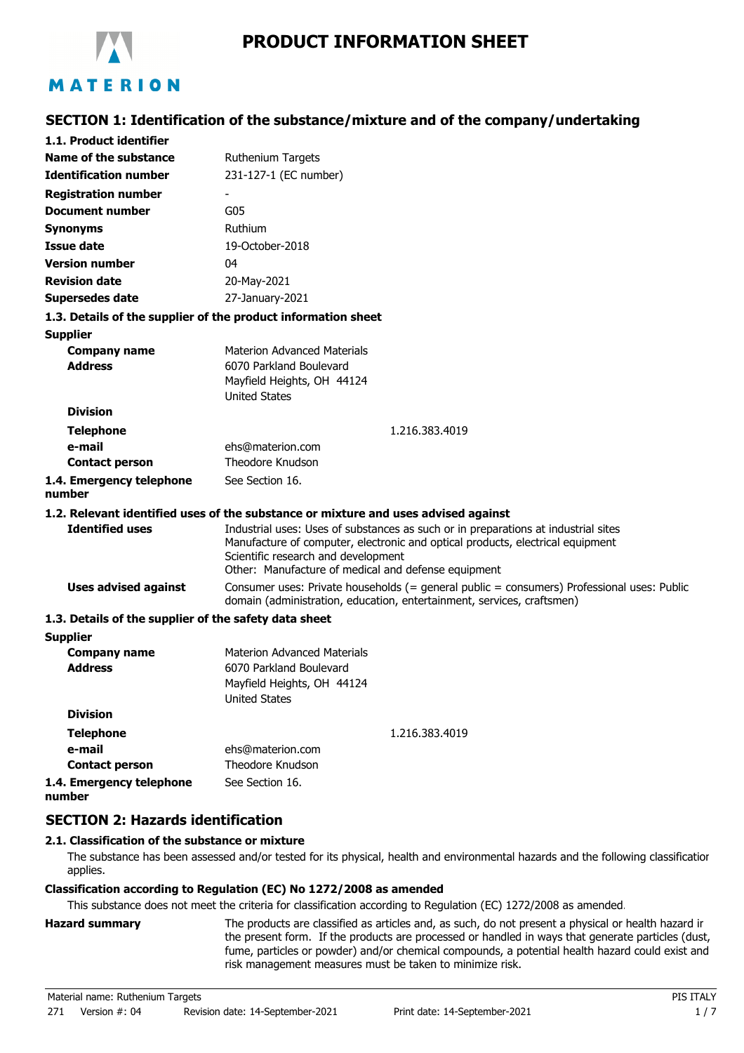

# **SECTION 1: Identification of the substance/mixture and of the company/undertaking**

| 1.1. Product identifier                               |                                                                                                                                                                                                                                                                    |
|-------------------------------------------------------|--------------------------------------------------------------------------------------------------------------------------------------------------------------------------------------------------------------------------------------------------------------------|
| Name of the substance                                 | <b>Ruthenium Targets</b>                                                                                                                                                                                                                                           |
| <b>Identification number</b>                          | 231-127-1 (EC number)                                                                                                                                                                                                                                              |
| <b>Registration number</b>                            |                                                                                                                                                                                                                                                                    |
| <b>Document number</b>                                | G05                                                                                                                                                                                                                                                                |
| <b>Synonyms</b>                                       | Ruthium                                                                                                                                                                                                                                                            |
| <b>Issue date</b>                                     | 19-October-2018                                                                                                                                                                                                                                                    |
| <b>Version number</b>                                 | 04                                                                                                                                                                                                                                                                 |
| <b>Revision date</b>                                  | 20-May-2021                                                                                                                                                                                                                                                        |
| <b>Supersedes date</b>                                | 27-January-2021                                                                                                                                                                                                                                                    |
|                                                       | 1.3. Details of the supplier of the product information sheet                                                                                                                                                                                                      |
| <b>Supplier</b>                                       |                                                                                                                                                                                                                                                                    |
| <b>Company name</b><br><b>Address</b>                 | <b>Materion Advanced Materials</b><br>6070 Parkland Boulevard<br>Mayfield Heights, OH 44124<br><b>United States</b>                                                                                                                                                |
| <b>Division</b>                                       |                                                                                                                                                                                                                                                                    |
| <b>Telephone</b>                                      | 1.216.383.4019                                                                                                                                                                                                                                                     |
| e-mail<br><b>Contact person</b>                       | ehs@materion.com<br>Theodore Knudson                                                                                                                                                                                                                               |
| 1.4. Emergency telephone<br>number                    | See Section 16.                                                                                                                                                                                                                                                    |
|                                                       | 1.2. Relevant identified uses of the substance or mixture and uses advised against                                                                                                                                                                                 |
| <b>Identified uses</b>                                | Industrial uses: Uses of substances as such or in preparations at industrial sites<br>Manufacture of computer, electronic and optical products, electrical equipment<br>Scientific research and development<br>Other: Manufacture of medical and defense equipment |
| <b>Uses advised against</b>                           | Consumer uses: Private households (= general public = consumers) Professional uses: Public<br>domain (administration, education, entertainment, services, craftsmen)                                                                                               |
| 1.3. Details of the supplier of the safety data sheet |                                                                                                                                                                                                                                                                    |
| <b>Supplier</b>                                       |                                                                                                                                                                                                                                                                    |
| <b>Company name</b><br><b>Address</b>                 | <b>Materion Advanced Materials</b><br>6070 Parkland Boulevard<br>Mayfield Heights, OH 44124<br><b>United States</b>                                                                                                                                                |
| <b>Division</b>                                       |                                                                                                                                                                                                                                                                    |
| <b>Telephone</b>                                      | 1.216.383.4019                                                                                                                                                                                                                                                     |
| e-mail                                                | ehs@materion.com                                                                                                                                                                                                                                                   |
| <b>Contact person</b>                                 | Theodore Knudson                                                                                                                                                                                                                                                   |
| 1.4. Emergency telephone<br>number                    | See Section 16.                                                                                                                                                                                                                                                    |

### **SECTION 2: Hazards identification**

### **2.1. Classification of the substance or mixture**

The substance has been assessed and/or tested for its physical, health and environmental hazards and the following classification applies.

### **Classification according to Regulation (EC) No 1272/2008 as amended**

This substance does not meet the criteria for classification according to Regulation (EC) 1272/2008 as amended.

**Hazard summary** The products are classified as articles and, as such, do not present a physical or health hazard in the present form. If the products are processed or handled in ways that generate particles (dust, fume, particles or powder) and/or chemical compounds, a potential health hazard could exist and risk management measures must be taken to minimize risk.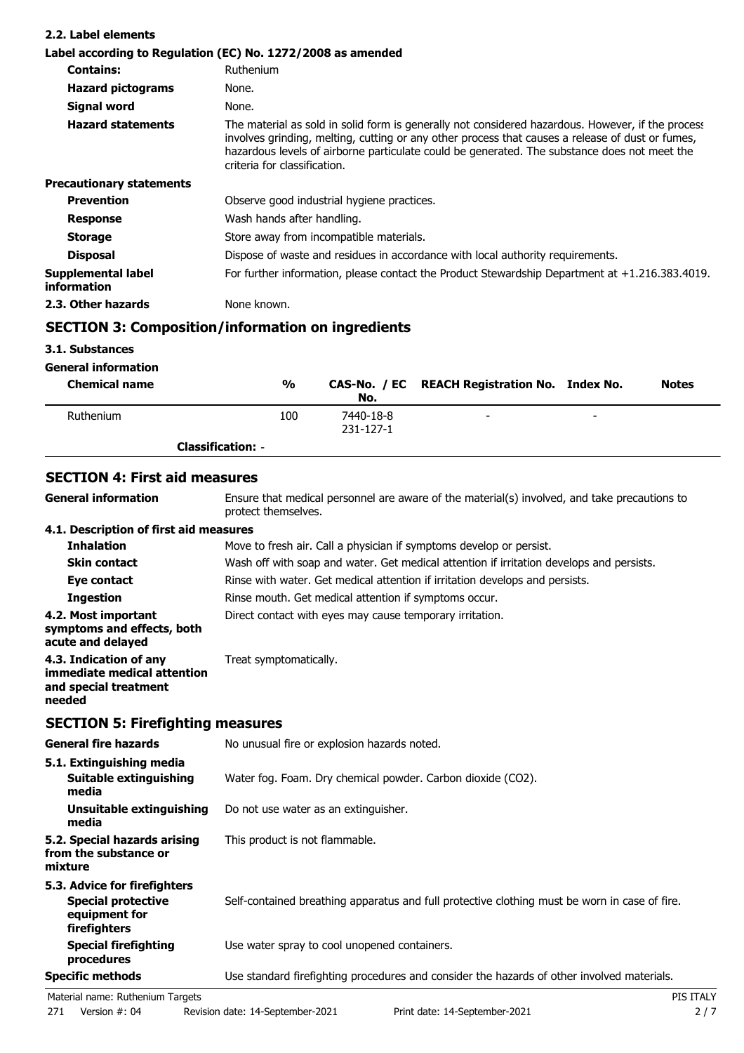| 2.2. Label elements               |                                                                                                                                                                                                                                                                                                                                       |
|-----------------------------------|---------------------------------------------------------------------------------------------------------------------------------------------------------------------------------------------------------------------------------------------------------------------------------------------------------------------------------------|
|                                   | Label according to Regulation (EC) No. 1272/2008 as amended                                                                                                                                                                                                                                                                           |
| <b>Contains:</b>                  | Ruthenium                                                                                                                                                                                                                                                                                                                             |
| <b>Hazard pictograms</b>          | None.                                                                                                                                                                                                                                                                                                                                 |
| Signal word                       | None.                                                                                                                                                                                                                                                                                                                                 |
| <b>Hazard statements</b>          | The material as sold in solid form is generally not considered hazardous. However, if the process<br>involves grinding, melting, cutting or any other process that causes a release of dust or fumes,<br>hazardous levels of airborne particulate could be generated. The substance does not meet the<br>criteria for classification. |
| <b>Precautionary statements</b>   |                                                                                                                                                                                                                                                                                                                                       |
| <b>Prevention</b>                 | Observe good industrial hygiene practices.                                                                                                                                                                                                                                                                                            |
| <b>Response</b>                   | Wash hands after handling.                                                                                                                                                                                                                                                                                                            |
| <b>Storage</b>                    | Store away from incompatible materials.                                                                                                                                                                                                                                                                                               |
| <b>Disposal</b>                   | Dispose of waste and residues in accordance with local authority requirements.                                                                                                                                                                                                                                                        |
| Supplemental label<br>information | For further information, please contact the Product Stewardship Department at $+1.216.383.4019$ .                                                                                                                                                                                                                                     |
| 2.3. Other hazards                | None known.                                                                                                                                                                                                                                                                                                                           |

# **SECTION 3: Composition/information on ingredients**

## **3.1. Substances**

| <b>General information</b> |                          |                        |                                               |   |              |
|----------------------------|--------------------------|------------------------|-----------------------------------------------|---|--------------|
| <b>Chemical name</b>       | %                        | No.                    | CAS-No. / EC REACH Registration No. Index No. |   | <b>Notes</b> |
| Ruthenium                  | 100                      | 7440-18-8<br>231-127-1 | $\overline{\phantom{0}}$                      | - |              |
|                            | <b>Classification: -</b> |                        |                                               |   |              |

## **SECTION 4: First aid measures**

| <b>General information</b>                                                               | Ensure that medical personnel are aware of the material(s) involved, and take precautions to<br>protect themselves. |
|------------------------------------------------------------------------------------------|---------------------------------------------------------------------------------------------------------------------|
| 4.1. Description of first aid measures                                                   |                                                                                                                     |
| <b>Inhalation</b>                                                                        | Move to fresh air. Call a physician if symptoms develop or persist.                                                 |
| <b>Skin contact</b>                                                                      | Wash off with soap and water. Get medical attention if irritation develops and persists.                            |
| Eye contact                                                                              | Rinse with water. Get medical attention if irritation develops and persists.                                        |
| <b>Ingestion</b>                                                                         | Rinse mouth. Get medical attention if symptoms occur.                                                               |
| 4.2. Most important<br>symptoms and effects, both<br>acute and delayed                   | Direct contact with eyes may cause temporary irritation.                                                            |
| 4.3. Indication of any<br>immediate medical attention<br>and special treatment<br>needed | Treat symptomatically.                                                                                              |

## **SECTION 5: Firefighting measures**

| <b>General fire hazards</b>                                                                | No unusual fire or explosion hazards noted.                                                   |
|--------------------------------------------------------------------------------------------|-----------------------------------------------------------------------------------------------|
| 5.1. Extinguishing media<br>Suitable extinguishing<br>media                                | Water fog. Foam. Dry chemical powder. Carbon dioxide (CO2).                                   |
| Unsuitable extinguishing<br>media                                                          | Do not use water as an extinguisher.                                                          |
| 5.2. Special hazards arising<br>from the substance or<br>mixture                           | This product is not flammable.                                                                |
| 5.3. Advice for firefighters<br><b>Special protective</b><br>equipment for<br>firefighters | Self-contained breathing apparatus and full protective clothing must be worn in case of fire. |
| <b>Special firefighting</b><br>procedures                                                  | Use water spray to cool unopened containers.                                                  |
| <b>Specific methods</b>                                                                    | Use standard firefighting procedures and consider the hazards of other involved materials.    |
| Material name: Ruthenium Targets                                                           | PIS ITALY                                                                                     |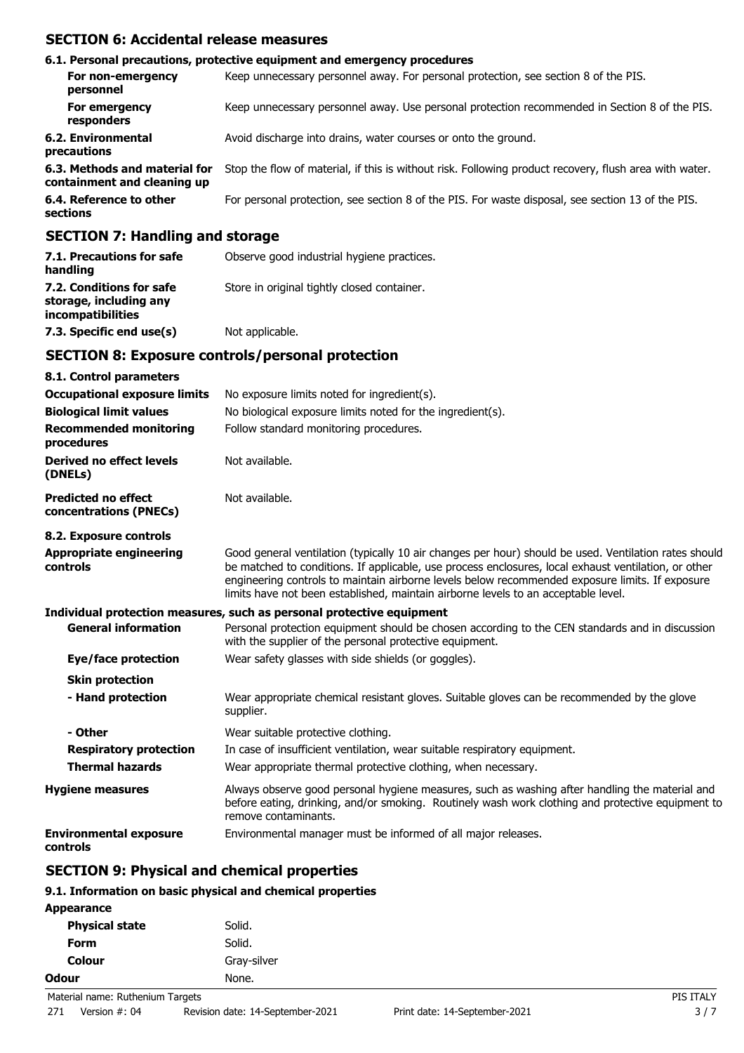## **SECTION 6: Accidental release measures**

|                                                              | 6.1. Personal precautions, protective equipment and emergency procedures                               |
|--------------------------------------------------------------|--------------------------------------------------------------------------------------------------------|
| For non-emergency<br>personnel                               | Keep unnecessary personnel away. For personal protection, see section 8 of the PIS.                    |
| For emergency<br>responders                                  | Keep unnecessary personnel away. Use personal protection recommended in Section 8 of the PIS.          |
| <b>6.2. Environmental</b><br>precautions                     | Avoid discharge into drains, water courses or onto the ground.                                         |
| 6.3. Methods and material for<br>containment and cleaning up | Stop the flow of material, if this is without risk. Following product recovery, flush area with water. |
| 6.4. Reference to other<br>sections                          | For personal protection, see section 8 of the PIS. For waste disposal, see section 13 of the PIS.      |
|                                                              |                                                                                                        |

### **SECTION 7: Handling and storage**

| 7.1. Precautions for safe<br>handling                                   | Observe good industrial hygiene practices.  |
|-------------------------------------------------------------------------|---------------------------------------------|
| 7.2. Conditions for safe<br>storage, including any<br>incompatibilities | Store in original tightly closed container. |
| 7.3. Specific end use(s)                                                | Not applicable.                             |

### **SECTION 8: Exposure controls/personal protection**

| 8.1. Control parameters                              |                                                                                                                                                                                                                                                                                                                                                                                                        |
|------------------------------------------------------|--------------------------------------------------------------------------------------------------------------------------------------------------------------------------------------------------------------------------------------------------------------------------------------------------------------------------------------------------------------------------------------------------------|
| <b>Occupational exposure limits</b>                  | No exposure limits noted for ingredient(s).                                                                                                                                                                                                                                                                                                                                                            |
| <b>Biological limit values</b>                       | No biological exposure limits noted for the ingredient(s).                                                                                                                                                                                                                                                                                                                                             |
| <b>Recommended monitoring</b><br>procedures          | Follow standard monitoring procedures.                                                                                                                                                                                                                                                                                                                                                                 |
| Derived no effect levels<br>(DNELs)                  | Not available.                                                                                                                                                                                                                                                                                                                                                                                         |
| <b>Predicted no effect</b><br>concentrations (PNECs) | Not available.                                                                                                                                                                                                                                                                                                                                                                                         |
| 8.2. Exposure controls                               |                                                                                                                                                                                                                                                                                                                                                                                                        |
| <b>Appropriate engineering</b><br>controls           | Good general ventilation (typically 10 air changes per hour) should be used. Ventilation rates should<br>be matched to conditions. If applicable, use process enclosures, local exhaust ventilation, or other<br>engineering controls to maintain airborne levels below recommended exposure limits. If exposure<br>limits have not been established, maintain airborne levels to an acceptable level. |
|                                                      | Individual protection measures, such as personal protective equipment                                                                                                                                                                                                                                                                                                                                  |
| <b>General information</b>                           | Personal protection equipment should be chosen according to the CEN standards and in discussion<br>with the supplier of the personal protective equipment.                                                                                                                                                                                                                                             |
| Eye/face protection                                  | Wear safety glasses with side shields (or goggles).                                                                                                                                                                                                                                                                                                                                                    |
| <b>Skin protection</b>                               |                                                                                                                                                                                                                                                                                                                                                                                                        |
| - Hand protection                                    | Wear appropriate chemical resistant gloves. Suitable gloves can be recommended by the glove<br>supplier.                                                                                                                                                                                                                                                                                               |
| - Other                                              | Wear suitable protective clothing.                                                                                                                                                                                                                                                                                                                                                                     |
| <b>Respiratory protection</b>                        | In case of insufficient ventilation, wear suitable respiratory equipment.                                                                                                                                                                                                                                                                                                                              |
| <b>Thermal hazards</b>                               | Wear appropriate thermal protective clothing, when necessary.                                                                                                                                                                                                                                                                                                                                          |
| <b>Hygiene measures</b>                              | Always observe good personal hygiene measures, such as washing after handling the material and<br>before eating, drinking, and/or smoking. Routinely wash work clothing and protective equipment to<br>remove contaminants.                                                                                                                                                                            |
| <b>Environmental exposure</b><br>controls            | Environmental manager must be informed of all major releases.                                                                                                                                                                                                                                                                                                                                          |

# **SECTION 9: Physical and chemical properties**

### **9.1. Information on basic physical and chemical properties**

| <b>Appearance</b>                |             |           |
|----------------------------------|-------------|-----------|
| <b>Physical state</b>            | Solid.      |           |
| <b>Form</b>                      | Solid.      |           |
| <b>Colour</b>                    | Gray-silver |           |
| <b>Odour</b>                     | None.       |           |
| Material name: Ruthenium Targets |             | PIS ITALY |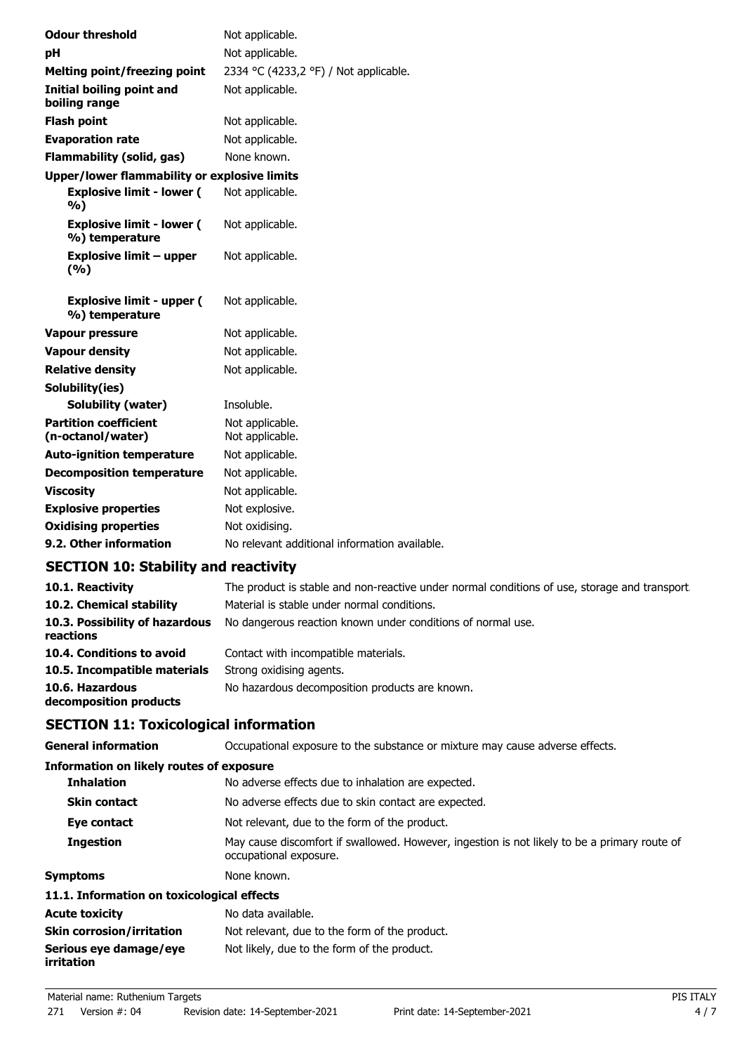| <b>Odour threshold</b>                              | Not applicable.                               |
|-----------------------------------------------------|-----------------------------------------------|
| рH                                                  | Not applicable.                               |
| <b>Melting point/freezing point</b>                 | 2334 °C (4233,2 °F) / Not applicable.         |
| Initial boiling point and<br>boiling range          | Not applicable.                               |
| <b>Flash point</b>                                  | Not applicable.                               |
| <b>Evaporation rate</b>                             | Not applicable.                               |
| <b>Flammability (solid, gas)</b>                    | None known.                                   |
| <b>Upper/lower flammability or explosive limits</b> |                                               |
| <b>Explosive limit - lower (</b><br>%)              | Not applicable.                               |
| <b>Explosive limit - lower (</b><br>%) temperature  | Not applicable.                               |
| Explosive limit – upper<br>(%)                      | Not applicable.                               |
| <b>Explosive limit - upper (</b><br>%) temperature  | Not applicable.                               |
| <b>Vapour pressure</b>                              | Not applicable.                               |
| <b>Vapour density</b>                               | Not applicable.                               |
| <b>Relative density</b>                             | Not applicable.                               |
| Solubility(ies)                                     |                                               |
| <b>Solubility (water)</b>                           | Insoluble.                                    |
| <b>Partition coefficient</b><br>(n-octanol/water)   | Not applicable.<br>Not applicable.            |
| <b>Auto-ignition temperature</b>                    | Not applicable.                               |
| <b>Decomposition temperature</b>                    | Not applicable.                               |
| <b>Viscosity</b>                                    | Not applicable.                               |
| <b>Explosive properties</b>                         | Not explosive.                                |
| <b>Oxidising properties</b>                         | Not oxidising.                                |
| 9.2. Other information                              | No relevant additional information available. |
|                                                     |                                               |

# **SECTION 10: Stability and reactivity**

| 10.1. Reactivity                            | The product is stable and non-reactive under normal conditions of use, storage and transport. |
|---------------------------------------------|-----------------------------------------------------------------------------------------------|
| 10.2. Chemical stability                    | Material is stable under normal conditions.                                                   |
| 10.3. Possibility of hazardous<br>reactions | No dangerous reaction known under conditions of normal use.                                   |
| 10.4. Conditions to avoid                   | Contact with incompatible materials.                                                          |
| 10.5. Incompatible materials                | Strong oxidising agents.                                                                      |
| 10.6. Hazardous<br>decomposition products   | No hazardous decomposition products are known.                                                |

# **SECTION 11: Toxicological information**

| <b>General information</b>                 | Occupational exposure to the substance or mixture may cause adverse effects.                                           |
|--------------------------------------------|------------------------------------------------------------------------------------------------------------------------|
| Information on likely routes of exposure   |                                                                                                                        |
| <b>Inhalation</b>                          | No adverse effects due to inhalation are expected.                                                                     |
| <b>Skin contact</b>                        | No adverse effects due to skin contact are expected.                                                                   |
| Eye contact                                | Not relevant, due to the form of the product.                                                                          |
| <b>Ingestion</b>                           | May cause discomfort if swallowed. However, ingestion is not likely to be a primary route of<br>occupational exposure. |
| <b>Symptoms</b>                            | None known.                                                                                                            |
| 11.1. Information on toxicological effects |                                                                                                                        |
| <b>Acute toxicity</b>                      | No data available.                                                                                                     |
| <b>Skin corrosion/irritation</b>           | Not relevant, due to the form of the product.                                                                          |
| Serious eye damage/eye<br>irritation       | Not likely, due to the form of the product.                                                                            |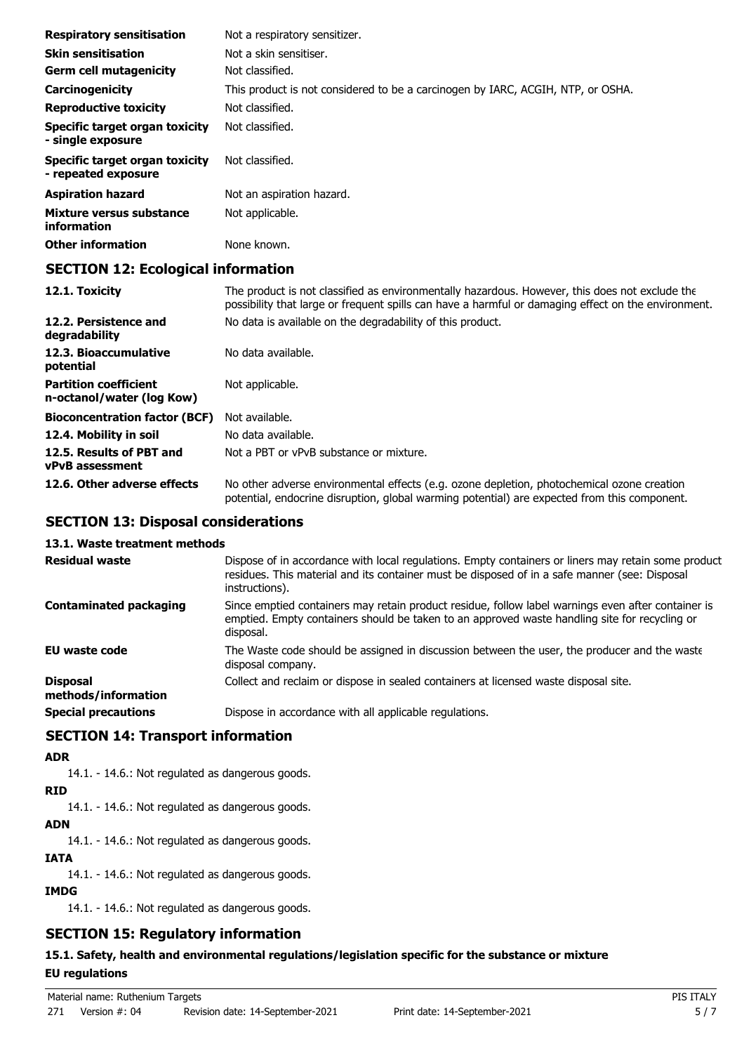| <b>Respiratory sensitisation</b>                      | Not a respiratory sensitizer.                                                   |
|-------------------------------------------------------|---------------------------------------------------------------------------------|
| <b>Skin sensitisation</b>                             | Not a skin sensitiser.                                                          |
| <b>Germ cell mutagenicity</b>                         | Not classified.                                                                 |
| Carcinogenicity                                       | This product is not considered to be a carcinogen by IARC, ACGIH, NTP, or OSHA. |
| <b>Reproductive toxicity</b>                          | Not classified.                                                                 |
| Specific target organ toxicity<br>- single exposure   | Not classified.                                                                 |
| Specific target organ toxicity<br>- repeated exposure | Not classified.                                                                 |
| <b>Aspiration hazard</b>                              | Not an aspiration hazard.                                                       |
| Mixture versus substance<br>information               | Not applicable.                                                                 |
| <b>Other information</b>                              | None known.                                                                     |

## **SECTION 12: Ecological information**

| 12.1. Toxicity                                            | The product is not classified as environmentally hazardous. However, this does not exclude the<br>possibility that large or frequent spills can have a harmful or damaging effect on the environment. |
|-----------------------------------------------------------|-------------------------------------------------------------------------------------------------------------------------------------------------------------------------------------------------------|
| 12.2. Persistence and<br>degradability                    | No data is available on the degradability of this product.                                                                                                                                            |
| 12.3. Bioaccumulative<br>potential                        | No data available.                                                                                                                                                                                    |
| <b>Partition coefficient</b><br>n-octanol/water (log Kow) | Not applicable.                                                                                                                                                                                       |
| <b>Bioconcentration factor (BCF)</b>                      | Not available.                                                                                                                                                                                        |
| 12.4. Mobility in soil                                    | No data available.                                                                                                                                                                                    |
| 12.5. Results of PBT and<br><b>vPvB</b> assessment        | Not a PBT or vPvB substance or mixture.                                                                                                                                                               |
| 12.6. Other adverse effects                               | No other adverse environmental effects (e.g. ozone depletion, photochemical ozone creation<br>potential, endocrine disruption, global warming potential) are expected from this component.            |

### **SECTION 13: Disposal considerations**

## **13.1. Waste treatment methods**

| <b>Residual waste</b>                  | Dispose of in accordance with local regulations. Empty containers or liners may retain some product<br>residues. This material and its container must be disposed of in a safe manner (see: Disposal<br>instructions). |
|----------------------------------------|------------------------------------------------------------------------------------------------------------------------------------------------------------------------------------------------------------------------|
| <b>Contaminated packaging</b>          | Since emptied containers may retain product residue, follow label warnings even after container is<br>emptied. Empty containers should be taken to an approved waste handling site for recycling or<br>disposal.       |
| EU waste code                          | The Waste code should be assigned in discussion between the user, the producer and the waste<br>disposal company.                                                                                                      |
| <b>Disposal</b><br>methods/information | Collect and reclaim or dispose in sealed containers at licensed waste disposal site.                                                                                                                                   |
| <b>Special precautions</b>             | Dispose in accordance with all applicable regulations.                                                                                                                                                                 |

## **SECTION 14: Transport information**

#### **ADR**

14.1. - 14.6.: Not regulated as dangerous goods.

#### **RID**

14.1. - 14.6.: Not regulated as dangerous goods.

### **ADN**

14.1. - 14.6.: Not regulated as dangerous goods.

#### **IATA**

14.1. - 14.6.: Not regulated as dangerous goods.

### **IMDG**

14.1. - 14.6.: Not regulated as dangerous goods.

## **SECTION 15: Regulatory information**

### **15.1. Safety, health and environmental regulations/legislation specific for the substance or mixture**

### **EU regulations**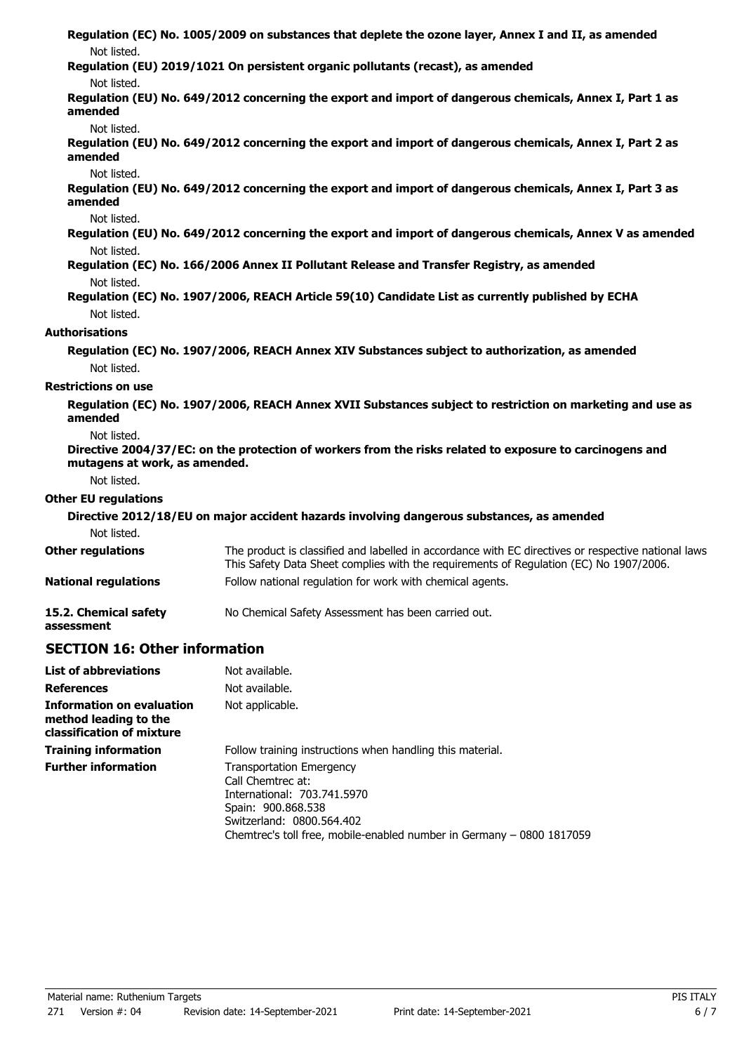| Not listed.                          | Regulation (EC) No. 1005/2009 on substances that deplete the ozone layer, Annex I and II, as amended                                                                                           |
|--------------------------------------|------------------------------------------------------------------------------------------------------------------------------------------------------------------------------------------------|
| Not listed.                          | Regulation (EU) 2019/1021 On persistent organic pollutants (recast), as amended                                                                                                                |
| amended                              | Regulation (EU) No. 649/2012 concerning the export and import of dangerous chemicals, Annex I, Part 1 as                                                                                       |
| Not listed.                          |                                                                                                                                                                                                |
| amended                              | Regulation (EU) No. 649/2012 concerning the export and import of dangerous chemicals, Annex I, Part 2 as                                                                                       |
| Not listed.                          |                                                                                                                                                                                                |
| amended                              | Regulation (EU) No. 649/2012 concerning the export and import of dangerous chemicals, Annex I, Part 3 as                                                                                       |
| Not listed.                          |                                                                                                                                                                                                |
|                                      | Regulation (EU) No. 649/2012 concerning the export and import of dangerous chemicals, Annex V as amended                                                                                       |
| Not listed.                          |                                                                                                                                                                                                |
|                                      | Regulation (EC) No. 166/2006 Annex II Pollutant Release and Transfer Registry, as amended                                                                                                      |
| Not listed.                          | Regulation (EC) No. 1907/2006, REACH Article 59(10) Candidate List as currently published by ECHA                                                                                              |
| Not listed.                          |                                                                                                                                                                                                |
|                                      |                                                                                                                                                                                                |
| Authorisations                       |                                                                                                                                                                                                |
|                                      | Regulation (EC) No. 1907/2006, REACH Annex XIV Substances subject to authorization, as amended                                                                                                 |
| Not listed.                          |                                                                                                                                                                                                |
| <b>Restrictions on use</b>           |                                                                                                                                                                                                |
| amended                              | Regulation (EC) No. 1907/2006, REACH Annex XVII Substances subject to restriction on marketing and use as                                                                                      |
| Not listed.                          |                                                                                                                                                                                                |
| mutagens at work, as amended.        | Directive 2004/37/EC: on the protection of workers from the risks related to exposure to carcinogens and                                                                                       |
| Not listed.                          |                                                                                                                                                                                                |
| <b>Other EU regulations</b>          |                                                                                                                                                                                                |
|                                      | Directive 2012/18/EU on major accident hazards involving dangerous substances, as amended                                                                                                      |
| Not listed.                          |                                                                                                                                                                                                |
| <b>Other regulations</b>             | The product is classified and labelled in accordance with EC directives or respective national laws.<br>This Safety Data Sheet complies with the requirements of Regulation (EC) No 1907/2006. |
| <b>National regulations</b>          | Follow national regulation for work with chemical agents.                                                                                                                                      |
| 15.2. Chemical safety<br>assessment  | No Chemical Safety Assessment has been carried out.                                                                                                                                            |
| <b>SECTION 16: Other information</b> |                                                                                                                                                                                                |

| <b>List of abbreviations</b>                                                           | Not available.                                                                                                                                                                                                  |
|----------------------------------------------------------------------------------------|-----------------------------------------------------------------------------------------------------------------------------------------------------------------------------------------------------------------|
| <b>References</b>                                                                      | Not available.                                                                                                                                                                                                  |
| <b>Information on evaluation</b><br>method leading to the<br>classification of mixture | Not applicable.                                                                                                                                                                                                 |
| <b>Training information</b>                                                            | Follow training instructions when handling this material.                                                                                                                                                       |
| <b>Further information</b>                                                             | <b>Transportation Emergency</b><br>Call Chemtrec at:<br>International: 703.741.5970<br>Spain: 900.868.538<br>Switzerland: 0800.564.402<br>Chemtrec's toll free, mobile-enabled number in Germany - 0800 1817059 |